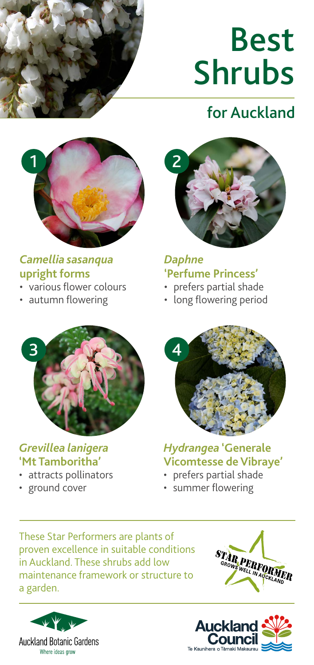

# Best Shrubs

## for Auckland



#### *Camellia sasanqua*  **upright forms**

- various flower colours
- autumn flowering



*Daphne*  **'Perfume Princess'**

- prefers partial shade
- long flowering period



#### *Grevillea lanigera*  **'Mt Tamboritha'**

- attracts pollinators
- ground cover



*Hydrangea* **'Generale Vicomtesse de Vibraye'**

- prefers partial shade
- summer flowering

These Star Performers are plants of proven excellence in suitable conditions in Auckland. These shrubs add low maintenance framework or structure to a garden.